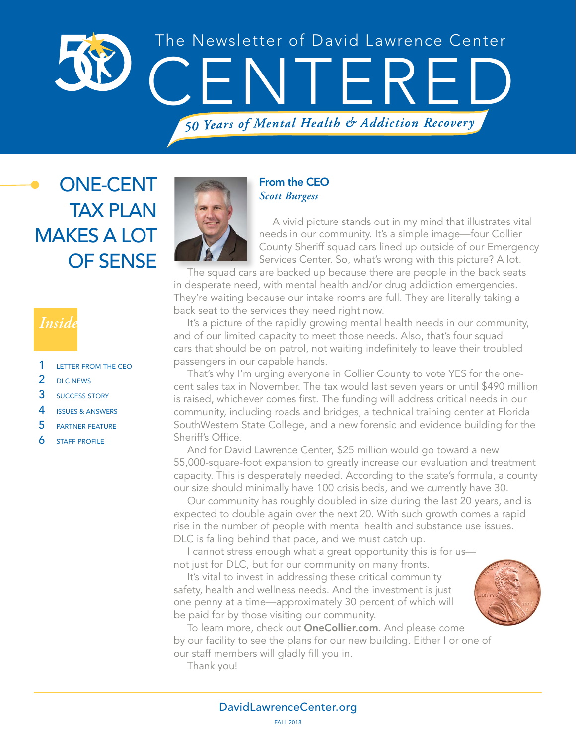

# ONE-CENT TAX PLAN MAKES A LOT OF SENSE

## *Inside*

- 1 LETTER FROM THE CEO
- 2 DLC NEWS
- 3 SUCCESS STORY
- 4 **ISSUES & ANSWERS**
- 5 PARTNER FEATURE
- **6** STAFF PROFILE



#### From the CEO *Scott Burgess*

A vivid picture stands out in my mind that illustrates vital needs in our community. It's a simple image—four Collier County Sheriff squad cars lined up outside of our Emergency Services Center. So, what's wrong with this picture? A lot.

The squad cars are backed up because there are people in the back seats in desperate need, with mental health and/or drug addiction emergencies. They're waiting because our intake rooms are full. They are literally taking a back seat to the services they need right now.

It's a picture of the rapidly growing mental health needs in our community, and of our limited capacity to meet those needs. Also, that's four squad cars that should be on patrol, not waiting indefinitely to leave their troubled passengers in our capable hands.

That's why I'm urging everyone in Collier County to vote YES for the onecent sales tax in November. The tax would last seven years or until \$490 million is raised, whichever comes first. The funding will address critical needs in our community, including roads and bridges, a technical training center at Florida SouthWestern State College, and a new forensic and evidence building for the Sheriff's Office.

And for David Lawrence Center, \$25 million would go toward a new 55,000-square-foot expansion to greatly increase our evaluation and treatment capacity. This is desperately needed. According to the state's formula, a county our size should minimally have 100 crisis beds, and we currently have 30.

Our community has roughly doubled in size during the last 20 years, and is expected to double again over the next 20. With such growth comes a rapid rise in the number of people with mental health and substance use issues. DLC is falling behind that pace, and we must catch up.

I cannot stress enough what a great opportunity this is for us not just for DLC, but for our community on many fronts.

It's vital to invest in addressing these critical community safety, health and wellness needs. And the investment is just one penny at a time—approximately 30 percent of which will be paid for by those visiting our community.



To learn more, check out **OneCollier.com**. And please come by our facility to see the plans for our new building. Either I or one of our staff members will gladly fill you in.

Thank you!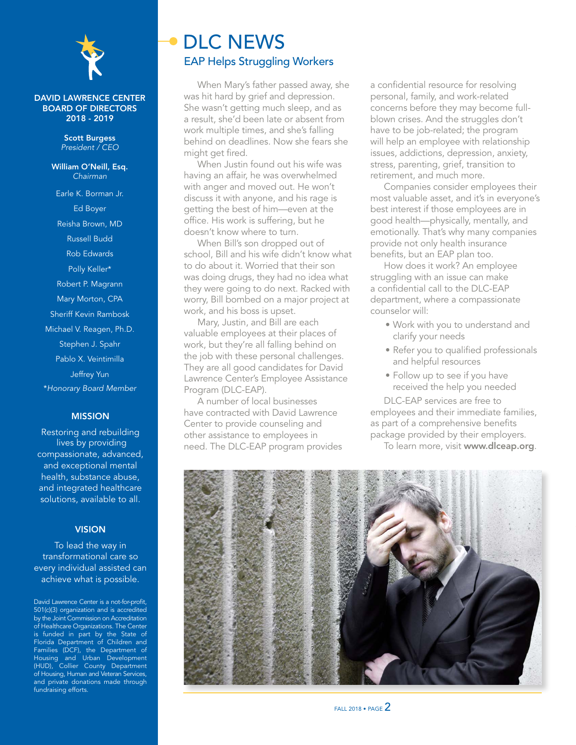

#### DAVID LAWRENCE CENTER BOARD OF DIRECTORS 2018 - 2019

Scott Burgess *President / CEO*

William O'Neill, Esq. *Chairman* Earle K. Borman Jr. Ed Boyer Reisha Brown, MD Russell Budd Rob Edwards Polly Keller\* Robert P. Magrann Mary Morton, CPA Sheriff Kevin Rambosk Michael V. Reagen, Ph.D. Stephen J. Spahr Pablo X. Veintimilla Jeffrey Yun \**Honorary Board Member*

#### MISSION

Restoring and rebuilding lives by providing compassionate, advanced, and exceptional mental health, substance abuse, and integrated healthcare solutions, available to all.

#### **VISION**

To lead the way in transformational care so every individual assisted can achieve what is possible.

David Lawrence Center is a not-for-profit, 501(c)(3) organization and is accredited by the Joint Commission on Accreditation of Healthcare Organizations. The Center is funded in part by the State of Florida Department of Children and Families (DCF), the Department of Housing and Urban Development (HUD), Collier County Department of Housing, Human and Veteran Services, and private donations made through fundraising efforts.

### DLC NEWS EAP Helps Struggling Workers

When Mary's father passed away, she was hit hard by grief and depression. She wasn't getting much sleep, and as a result, she'd been late or absent from work multiple times, and she's falling behind on deadlines. Now she fears she might get fired.

When Justin found out his wife was having an affair, he was overwhelmed with anger and moved out. He won't discuss it with anyone, and his rage is getting the best of him—even at the office. His work is suffering, but he doesn't know where to turn.

When Bill's son dropped out of school, Bill and his wife didn't know what to do about it. Worried that their son was doing drugs, they had no idea what they were going to do next. Racked with worry, Bill bombed on a major project at work, and his boss is upset.

Mary, Justin, and Bill are each valuable employees at their places of work, but they're all falling behind on the job with these personal challenges. They are all good candidates for David Lawrence Center's Employee Assistance Program (DLC-EAP).

A number of local businesses have contracted with David Lawrence Center to provide counseling and other assistance to employees in need. The DLC-EAP program provides a confidential resource for resolving personal, family, and work-related concerns before they may become fullblown crises. And the struggles don't have to be job-related; the program will help an employee with relationship issues, addictions, depression, anxiety, stress, parenting, grief, transition to retirement, and much more.

Companies consider employees their most valuable asset, and it's in everyone's best interest if those employees are in good health—physically, mentally, and emotionally. That's why many companies provide not only health insurance benefits, but an EAP plan too.

How does it work? An employee struggling with an issue can make a confidential call to the DLC-EAP department, where a compassionate counselor will:

- Work with you to understand and clarify your needs
- Refer you to qualified professionals and helpful resources
- Follow up to see if you have received the help you needed

DLC-EAP services are free to employees and their immediate families, as part of a comprehensive benefits package provided by their employers. To learn more, visit www.dlceap.org.

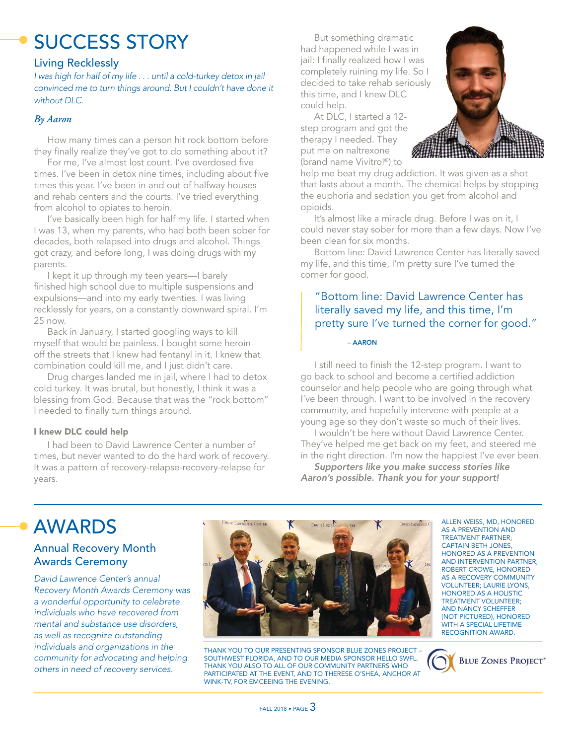# SUCCESS STORY

#### Living Recklessly

*I was high for half of my life . . . until a cold-turkey detox in jail convinced me to turn things around. But I couldn't have done it without DLC.*

#### *By Aaron*

How many times can a person hit rock bottom before they finally realize they've got to do something about it?

For me, I've almost lost count. I've overdosed five times. I've been in detox nine times, including about five times this year. I've been in and out of halfway houses and rehab centers and the courts. I've tried everything from alcohol to opiates to heroin.

I've basically been high for half my life. I started when I was 13, when my parents, who had both been sober for decades, both relapsed into drugs and alcohol. Things got crazy, and before long, I was doing drugs with my parents.

I kept it up through my teen years—I barely finished high school due to multiple suspensions and expulsions—and into my early twenties. I was living recklessly for years, on a constantly downward spiral. I'm 25 now.

Back in January, I started googling ways to kill myself that would be painless. I bought some heroin off the streets that I knew had fentanyl in it. I knew that combination could kill me, and I just didn't care.

Drug charges landed me in jail, where I had to detox cold turkey. It was brutal, but honestly, I think it was a blessing from God. Because that was the "rock bottom" I needed to finally turn things around.

#### I knew DLC could help

I had been to David Lawrence Center a number of times, but never wanted to do the hard work of recovery. It was a pattern of recovery-relapse-recovery-relapse for years.

But something dramatic had happened while I was in jail: I finally realized how I was completely ruining my life. So I decided to take rehab seriously this time, and I knew DLC could help.

At DLC, I started a 12 step program and got the therapy I needed. They put me on naltrexone (brand name Vivitrol®) to



help me beat my drug addiction. It was given as a shot that lasts about a month. The chemical helps by stopping the euphoria and sedation you get from alcohol and opioids.

It's almost like a miracle drug. Before I was on it, I could never stay sober for more than a few days. Now I've been clean for six months.

Bottom line: David Lawrence Center has literally saved my life, and this time, I'm pretty sure I've turned the corner for good.

#### "Bottom line: David Lawrence Center has literally saved my life, and this time, I'm pretty sure I've turned the corner for good."

#### – AARON

I still need to finish the 12-step program. I want to go back to school and become a certified addiction counselor and help people who are going through what I've been through. I want to be involved in the recovery community, and hopefully intervene with people at a young age so they don't waste so much of their lives.

I wouldn't be here without David Lawrence Center. They've helped me get back on my feet, and steered me in the right direction. I'm now the happiest I've ever been.

*Supporters like you make success stories like Aaron's possible. Thank you for your support!*

# AWARDS

### Annual Recovery Month Awards Ceremony

*David Lawrence Center's annual Recovery Month Awards Ceremony was a wonderful opportunity to celebrate individuals who have recovered from mental and substance use disorders, as well as recognize outstanding individuals and organizations in the community for advocating and helping others in need of recovery services.* 



THANK YOU TO OUR PRESENTING SPONSOR BLUE ZONES PROJECT – SOUTHWEST FLORIDA, AND TO OUR MEDIA SPONSOR HELLO SWFL. THANK YOU ALSO TO ALL OF OUR COMMUNITY PARTNERS WHO PARTICIPATED AT THE EVENT, AND TO THERESE O'SHEA, ANCHOR AT WINK-TV, FOR EMCEEING THE EVENING.

ALLEN WEISS, MD, HONORED AS A PREVENTION AND TREATMENT PARTNER; CAPTAIN BETH JONES, HONORED AS A PREVENTION AND INTERVENTION PARTNER; ROBERT CROWE, HONORED AS A RECOVERY COMMUNITY VOLUNTEER; LAURIE LYONS, HONORED AS A HOLISTIC TREATMENT VOLUNTEER; AND NANCY SCHEFFER (NOT PICTURED), HONORED WITH A SPECIAL LIFETIME RECOGNITION AWARD.



FALL 2018 • PAGE 3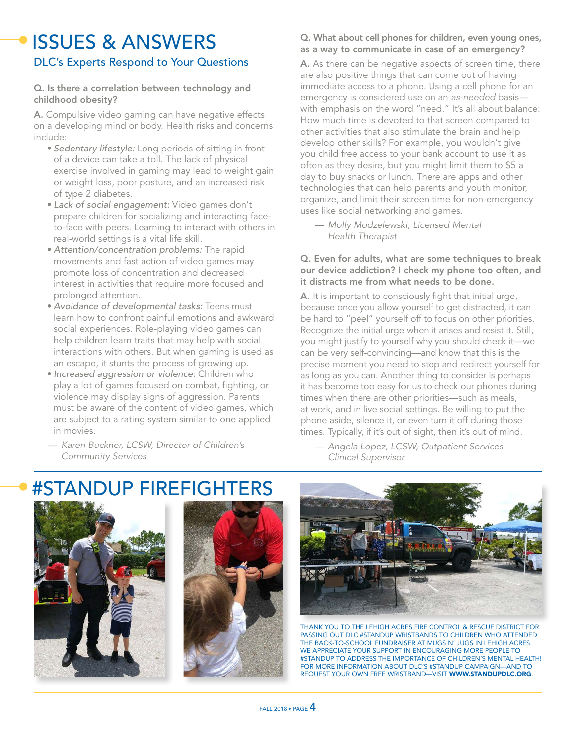#### DLC's Experts Respond to Your Questions

#### Q. Is there a correlation between technology and childhood obesity?

A. Compulsive video gaming can have negative effects on a developing mind or body. Health risks and concerns include:

- *Sedentary lifestyle:* Long periods of sitting in front of a device can take a toll. The lack of physical exercise involved in gaming may lead to weight gain or weight loss, poor posture, and an increased risk of type 2 diabetes.
- *Lack of social engagement:* Video games don't prepare children for socializing and interacting faceto-face with peers. Learning to interact with others in real-world settings is a vital life skill.
- *Attention/concentration problems:* The rapid movements and fast action of video games may promote loss of concentration and decreased interest in activities that require more focused and prolonged attention.
- *Avoidance of developmental tasks:* Teens must learn how to confront painful emotions and awkward social experiences. Role-playing video games can help children learn traits that may help with social interactions with others. But when gaming is used as an escape, it stunts the process of growing up.
- *Increased aggression or violence:* Children who play a lot of games focused on combat, fighting, or violence may display signs of aggression. Parents must be aware of the content of video games, which are subject to a rating system similar to one applied in movies.
- *— Karen Buckner, LCSW, Director of Children's Community Services*

#### **ISSUES & ANSWERS** Q. What about cell phones for children, even young ones, as a way to communicate in case of an emergency?

A. As there can be negative aspects of screen time, there are also positive things that can come out of having immediate access to a phone. Using a cell phone for an emergency is considered use on an *as-needed* basis with emphasis on the word "need." It's all about balance: How much time is devoted to that screen compared to other activities that also stimulate the brain and help develop other skills? For example, you wouldn't give you child free access to your bank account to use it as often as they desire, but you might limit them to \$5 a day to buy snacks or lunch. There are apps and other technologies that can help parents and youth monitor, organize, and limit their screen time for non-emergency uses like social networking and games.

*— Molly Modzelewski, Licensed Mental Health Therapist*

#### Q. Even for adults, what are some techniques to break our device addiction? I check my phone too often, and it distracts me from what needs to be done.

A. It is important to consciously fight that initial urge, because once you allow yourself to get distracted, it can be hard to "peel" yourself off to focus on other priorities. Recognize the initial urge when it arises and resist it. Still, you might justify to yourself why you should check it—we can be very self-convincing—and know that this is the precise moment you need to stop and redirect yourself for as long as you can. Another thing to consider is perhaps it has become too easy for us to check our phones during times when there are other priorities—such as meals, at work, and in live social settings. Be willing to put the phone aside, silence it, or even turn it off during those times. Typically, if it's out of sight, then it's out of mind.

*— Angela Lopez, LCSW, Outpatient Services Clinical Supervisor*

# #STANDUP FIREFIGHTERS







THANK YOU TO THE LEHIGH ACRES FIRE CONTROL & RESCUE DISTRICT FOR PASSING OUT DLC #STANDUP WRISTBANDS TO CHILDREN WHO ATTENDED THE BACK-TO-SCHOOL FUNDRAISER AT MUGS N' JUGS IN LEHIGH ACRES. WE APPRECIATE YOUR SUPPORT IN ENCOURAGING MORE PEOPLE TO #STANDUP TO ADDRESS THE IMPORTANCE OF CHILDREN'S MENTAL HEALTH! FOR MORE INFORMATION ABOUT DLC'S #STANDUP CAMPAIGN—AND TO REQUEST YOUR OWN FREE WRISTBAND—VISIT WWW.STANDUPDLC.ORG.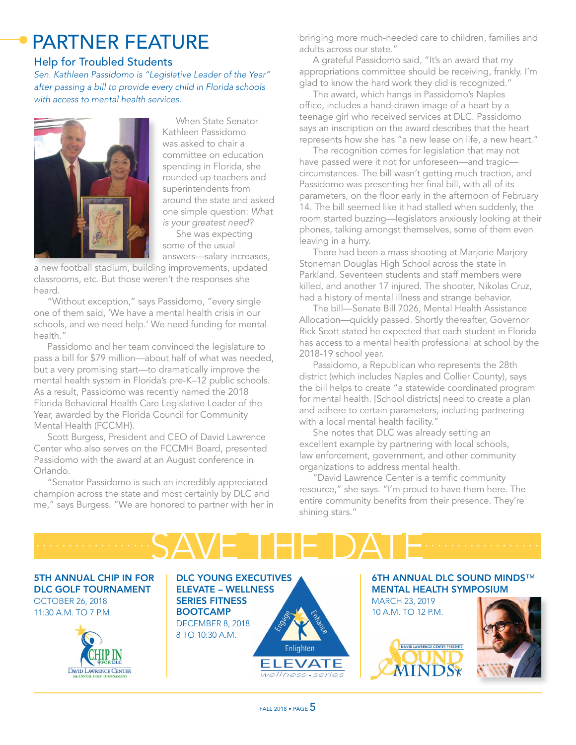# PARTNER FEATURE

#### Help for Troubled Students

*Sen. Kathleen Passidomo is "Legislative Leader of the Year" after passing a bill to provide every child in Florida schools with access to mental health services.*



When State Senator Kathleen Passidomo was asked to chair a committee on education spending in Florida, she rounded up teachers and superintendents from around the state and asked one simple question: *What is your greatest need?* 

She was expecting some of the usual answers—salary increases,

a new football stadium, building improvements, updated classrooms, etc. But those weren't the responses she heard.

"Without exception," says Passidomo, "every single one of them said, 'We have a mental health crisis in our schools, and we need help.' We need funding for mental health."

Passidomo and her team convinced the legislature to pass a bill for \$79 million—about half of what was needed, but a very promising start—to dramatically improve the mental health system in Florida's pre-K–12 public schools. As a result, Passidomo was recently named the 2018 Florida Behavioral Health Care Legislative Leader of the Year, awarded by the Florida Council for Community Mental Health (FCCMH).

Scott Burgess, President and CEO of David Lawrence Center who also serves on the FCCMH Board, presented Passidomo with the award at an August conference in Orlando.

"Senator Passidomo is such an incredibly appreciated champion across the state and most certainly by DLC and me," says Burgess. "We are honored to partner with her in bringing more much-needed care to children, families and adults across our state."

A grateful Passidomo said, "It's an award that my appropriations committee should be receiving, frankly. I'm glad to know the hard work they did is recognized."

The award, which hangs in Passidomo's Naples office, includes a hand-drawn image of a heart by a teenage girl who received services at DLC. Passidomo says an inscription on the award describes that the heart represents how she has "a new lease on life, a new heart."

The recognition comes for legislation that may not have passed were it not for unforeseen—and tragic circumstances. The bill wasn't getting much traction, and Passidomo was presenting her final bill, with all of its parameters, on the floor early in the afternoon of February 14. The bill seemed like it had stalled when suddenly, the room started buzzing—legislators anxiously looking at their phones, talking amongst themselves, some of them even leaving in a hurry.

There had been a mass shooting at Marjorie Marjory Stoneman Douglas High School across the state in Parkland. Seventeen students and staff members were killed, and another 17 injured. The shooter, Nikolas Cruz, had a history of mental illness and strange behavior.

The bill—Senate Bill 7026, Mental Health Assistance Allocation—quickly passed. Shortly thereafter, Governor Rick Scott stated he expected that each student in Florida has access to a mental health professional at school by the 2018-19 school year.

Passidomo, a Republican who represents the 28th district (which includes Naples and Collier County), says the bill helps to create "a statewide coordinated program for mental health. [School districts] need to create a plan and adhere to certain parameters, including partnering with a local mental health facility.'

She notes that DLC was already setting an excellent example by partnering with local schools, law enforcement, government, and other community organizations to address mental health.

"David Lawrence Center is a terrific community resource," she says. "I'm proud to have them here. The entire community benefits from their presence. They're shining stars."





ELEVATE – WELLNESS SERIES FITNESS BOOTCAMP DECEMBER 8, 2018 8 TO 10:30 A.M. Enlighten 6TH ANNUAL DLC SOUND MINDS™ MENTAL HEALTH SYMPOSIUM MARCH 23, 2019

DAVID LAWRENCE CENTER PRESENTS **MINDS** 

10 A.M. TO 12 P.M.



FALL 2018 • PAGE  $5$ 

**FI EVATE** 

wellness.series